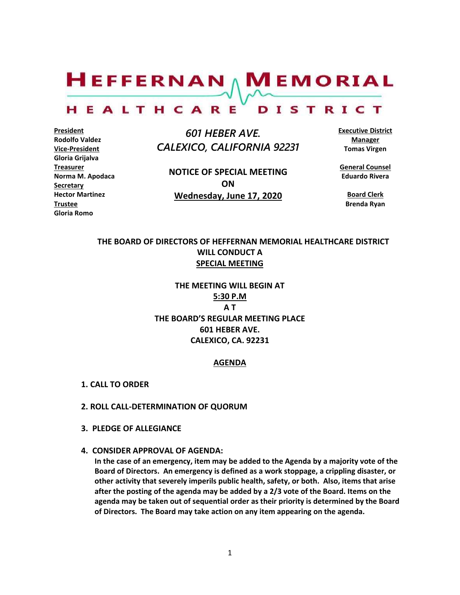$H$ EFFERNAN  $\wedge$  M EMORIAL HEALTHCARE DISTRICT

**President Rodolfo Valdez Vice-President Gloria Grijalva Treasurer Norma M. Apodaca Secretary Hector Martinez Trustee Gloria Romo**

 *601 HEBER AVE. CALEXICO, CALIFORNIA 92231*

**NOTICE OF SPECIAL MEETING ON Wednesday, June 17, 2020**

**Executive District Manager Tomas Virgen**

**General Counsel Eduardo Rivera**

> **Board Clerk Brenda Ryan**

# **THE BOARD OF DIRECTORS OF HEFFERNAN MEMORIAL HEALTHCARE DISTRICT WILL CONDUCT A SPECIAL MEETING**

**THE MEETING WILL BEGIN AT 5:30 P.M A T THE BOARD'S REGULAR MEETING PLACE 601 HEBER AVE. CALEXICO, CA. 92231**

### **AGENDA**

- **1. CALL TO ORDER**
- **2. ROLL CALL-DETERMINATION OF QUORUM**
- **3. PLEDGE OF ALLEGIANCE**
- **4. CONSIDER APPROVAL OF AGENDA:**

**In the case of an emergency, item may be added to the Agenda by a majority vote of the Board of Directors. An emergency is defined as a work stoppage, a crippling disaster, or other activity that severely imperils public health, safety, or both. Also, items that arise after the posting of the agenda may be added by a 2/3 vote of the Board. Items on the agenda may be taken out of sequential order as their priority is determined by the Board of Directors. The Board may take action on any item appearing on the agenda.**